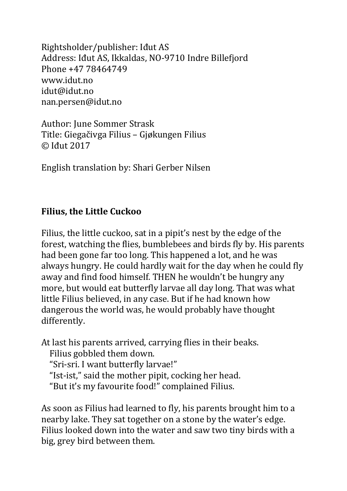Rightsholder/publisher: Idut AS Address: Idut AS, Ikkaldas, NO-9710 Indre Billefjord Phone +47 78464749 www.idut.no idut@idut.no nan.persen@idut.no

Author: June Sommer Strask Title: Giegačivga Filius – Gjøkungen Filius © Iđut 2017

English translation by: Shari Gerber Nilsen

## **Filius, the Little Cuckoo**

Filius, the little cuckoo, sat in a pipit's nest by the edge of the forest, watching the flies, bumblebees and birds fly by. His parents had been gone far too long. This happened a lot, and he was always hungry. He could hardly wait for the day when he could fly away and find food himself. THEN he wouldn't be hungry any more, but would eat butterfly larvae all day long. That was what little Filius believed, in any case. But if he had known how dangerous the world was, he would probably have thought differently. 

At last his parents arrived, carrying flies in their beaks.

Filius gobbled them down.

"Sri-sri. I want butterfly larvae!"

"Ist-ist," said the mother pipit, cocking her head.

"But it's my favourite food!" complained Filius.

As soon as Filius had learned to fly, his parents brought him to a nearby lake. They sat together on a stone by the water's edge. Filius looked down into the water and saw two tiny birds with a big, grey bird between them.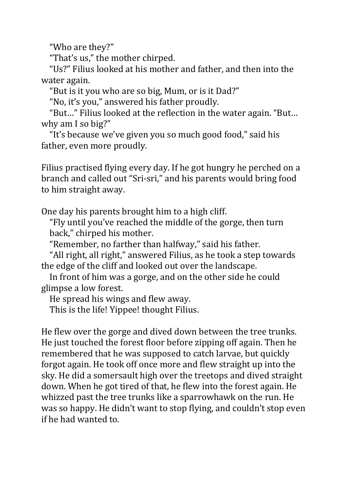"Who are they?"

"That's us," the mother chirped.

"Us?" Filius looked at his mother and father, and then into the water again.

"But is it you who are so big, Mum, or is it Dad?"

"No, it's you," answered his father proudly.

"But..." Filius looked at the reflection in the water again. "But... why am I so big?"

"It's because we've given you so much good food," said his father, even more proudly.

Filius practised flying every day. If he got hungry he perched on a branch and called out "Sri-sri," and his parents would bring food to him straight away.

One day his parents brought him to a high cliff.

"Fly until you've reached the middle of the gorge, then turn back," chirped his mother.

"Remember, no farther than halfway," said his father.

"All right, all right," answered Filius, as he took a step towards the edge of the cliff and looked out over the landscape.

In front of him was a gorge, and on the other side he could glimpse a low forest.

He spread his wings and flew away.

This is the life! Yippee! thought Filius.

He flew over the gorge and dived down between the tree trunks. He just touched the forest floor before zipping off again. Then he remembered that he was supposed to catch larvae, but quickly forgot again. He took off once more and flew straight up into the sky. He did a somersault high over the treetops and dived straight down. When he got tired of that, he flew into the forest again. He whizzed past the tree trunks like a sparrowhawk on the run. He was so happy. He didn't want to stop flying, and couldn't stop even if he had wanted to.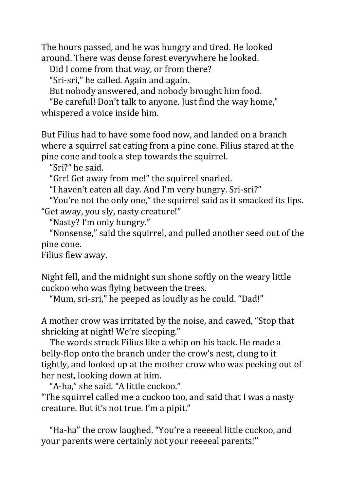The hours passed, and he was hungry and tired. He looked around. There was dense forest everywhere he looked.

Did I come from that way, or from there?

"Sri-sri," he called. Again and again.

But nobody answered, and nobody brought him food.

"Be careful! Don't talk to anyone. Just find the way home," whispered a voice inside him.

But Filius had to have some food now, and landed on a branch where a squirrel sat eating from a pine cone. Filius stared at the pine cone and took a step towards the squirrel.

"Sri?" he said.

"Grr! Get away from me!" the squirrel snarled.

"I haven't eaten all day. And I'm very hungry. Sri-sri?"

"You're not the only one," the squirrel said as it smacked its lips. "Get away, you sly, nasty creature!"

"Nasty? I'm only hungry."

"Nonsense," said the squirrel, and pulled another seed out of the pine cone.

Filius flew away.

Night fell, and the midnight sun shone softly on the weary little cuckoo who was flying between the trees.

"Mum, sri-sri," he peeped as loudly as he could. "Dad!"

A mother crow was irritated by the noise, and cawed, "Stop that shrieking at night! We're sleeping."

The words struck Filius like a whip on his back. He made a belly-flop onto the branch under the crow's nest, clung to it tightly, and looked up at the mother crow who was peeking out of her nest, looking down at him.

"A-ha," she said. "A little cuckoo." "The squirrel called me a cuckoo too, and said that I was a nasty creature. But it's not true. I'm a pipit."

"Ha-ha" the crow laughed. "You're a reeeeal little cuckoo, and your parents were certainly not your reeeeal parents!"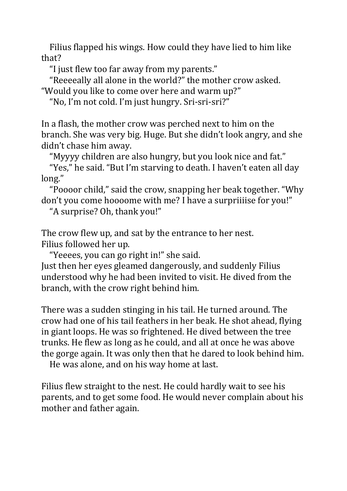Filius flapped his wings. How could they have lied to him like that?

"I just flew too far away from my parents."

"Reeeeally all alone in the world?" the mother crow asked. "Would you like to come over here and warm up?"

"No, I'm not cold. I'm just hungry. Sri-sri-sri?"

In a flash, the mother crow was perched next to him on the branch. She was very big. Huge. But she didn't look angry, and she didn't chase him away.

"Myyyy children are also hungry, but you look nice and fat."

"Yes," he said. "But I'm starving to death. I haven't eaten all day long."

"Poooor child," said the crow, snapping her beak together. "Why don't you come hoooome with me? I have a surpriiiise for you!"

"A surprise? Oh, thank you!"

The crow flew up, and sat by the entrance to her nest. Filius followed her up.

"Yeeees, you can go right in!" she said.

Just then her eyes gleamed dangerously, and suddenly Filius understood why he had been invited to visit. He dived from the branch, with the crow right behind him.

There was a sudden stinging in his tail. He turned around. The crow had one of his tail feathers in her beak. He shot ahead, flying in giant loops. He was so frightened. He dived between the tree trunks. He flew as long as he could, and all at once he was above the gorge again. It was only then that he dared to look behind him.

He was alone, and on his way home at last.

Filius flew straight to the nest. He could hardly wait to see his parents, and to get some food. He would never complain about his mother and father again.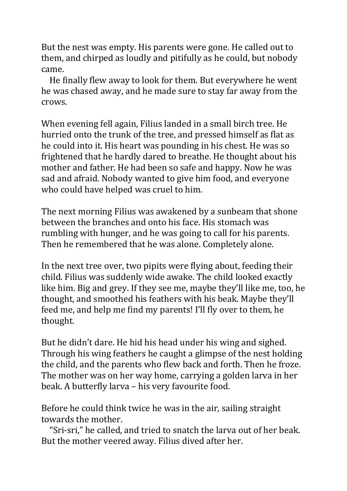But the nest was empty. His parents were gone. He called out to them, and chirped as loudly and pitifully as he could, but nobody came.

He finally flew away to look for them. But everywhere he went he was chased away, and he made sure to stay far away from the crows.

When evening fell again, Filius landed in a small birch tree. He hurried onto the trunk of the tree, and pressed himself as flat as he could into it. His heart was pounding in his chest. He was so frightened that he hardly dared to breathe. He thought about his mother and father. He had been so safe and happy. Now he was sad and afraid. Nobody wanted to give him food, and everyone who could have helped was cruel to him.

The next morning Filius was awakened by a sunbeam that shone between the branches and onto his face. His stomach was rumbling with hunger, and he was going to call for his parents. Then he remembered that he was alone. Completely alone.

In the next tree over, two pipits were flying about, feeding their child. Filius was suddenly wide awake. The child looked exactly like him. Big and grey. If they see me, maybe they'll like me, too, he thought, and smoothed his feathers with his beak. Maybe they'll feed me, and help me find my parents! I'll fly over to them, he thought.

But he didn't dare. He hid his head under his wing and sighed. Through his wing feathers he caught a glimpse of the nest holding the child, and the parents who flew back and forth. Then he froze. The mother was on her way home, carrying a golden larva in her beak. A butterfly larva - his very favourite food.

Before he could think twice he was in the air, sailing straight towards the mother.

"Sri-sri," he called, and tried to snatch the larva out of her beak. But the mother veered away. Filius dived after her.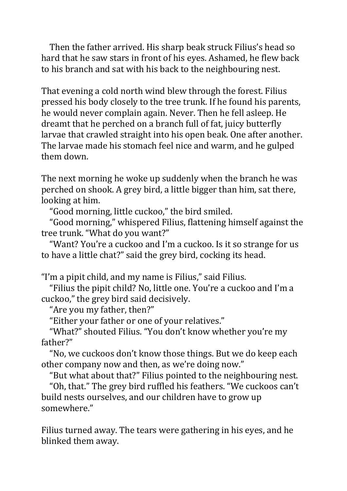Then the father arrived. His sharp beak struck Filius's head so hard that he saw stars in front of his eyes. Ashamed, he flew back to his branch and sat with his back to the neighbouring nest.

That evening a cold north wind blew through the forest. Filius pressed his body closely to the tree trunk. If he found his parents, he would never complain again. Never. Then he fell asleep. He dreamt that he perched on a branch full of fat, juicy butterfly larvae that crawled straight into his open beak. One after another. The larvae made his stomach feel nice and warm, and he gulped them down.

The next morning he woke up suddenly when the branch he was perched on shook. A grey bird, a little bigger than him, sat there, looking at him.

"Good morning, little cuckoo," the bird smiled.

"Good morning," whispered Filius, flattening himself against the tree trunk. "What do you want?"

"Want? You're a cuckoo and I'm a cuckoo. Is it so strange for us to have a little chat?" said the grey bird, cocking its head.

"I'm a pipit child, and my name is Filius," said Filius.

"Filius the pipit child? No, little one. You're a cuckoo and I'm a cuckoo," the grey bird said decisively.

"Are you my father, then?"

"Either your father or one of your relatives."

"What?" shouted Filius. "You don't know whether you're my father?"

"No, we cuckoos don't know those things. But we do keep each other company now and then, as we're doing now."

"But what about that?" Filius pointed to the neighbouring nest.

"Oh, that." The grey bird ruffled his feathers. "We cuckoos can't build nests ourselves, and our children have to grow up somewhere."

Filius turned away. The tears were gathering in his eyes, and he blinked them away.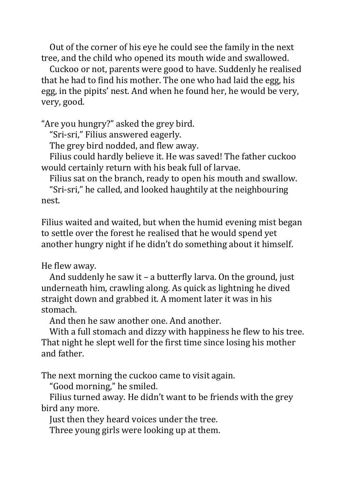Out of the corner of his eye he could see the family in the next tree, and the child who opened its mouth wide and swallowed.

Cuckoo or not, parents were good to have. Suddenly he realised that he had to find his mother. The one who had laid the egg, his egg, in the pipits' nest. And when he found her, he would be very, very, good.

"Are you hungry?" asked the grey bird.

"Sri-sri," Filius answered eagerly.

The grey bird nodded, and flew away.

Filius could hardly believe it. He was saved! The father cuckoo would certainly return with his beak full of larvae.

Filius sat on the branch, ready to open his mouth and swallow.

"Sri-sri," he called, and looked haughtily at the neighbouring nest.

Filius waited and waited, but when the humid evening mist began to settle over the forest he realised that he would spend yet another hungry night if he didn't do something about it himself.

He flew away.

And suddenly he saw it – a butterfly larva. On the ground, just underneath him, crawling along. As quick as lightning he dived straight down and grabbed it. A moment later it was in his stomach.

And then he saw another one. And another.

With a full stomach and dizzy with happiness he flew to his tree. That night he slept well for the first time since losing his mother and father.

The next morning the cuckoo came to visit again.

"Good morning," he smiled.

Filius turned away. He didn't want to be friends with the grey bird any more.

Just then they heard voices under the tree.

Three young girls were looking up at them.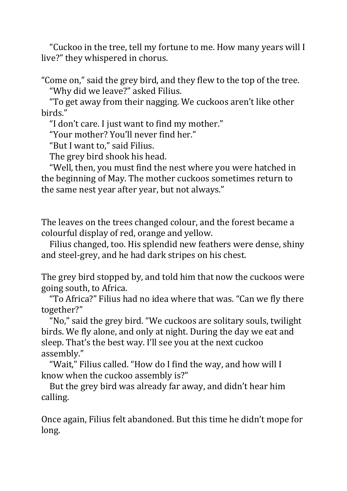"Cuckoo in the tree, tell my fortune to me. How many years will I live?" they whispered in chorus.

"Come on," said the grey bird, and they flew to the top of the tree. "Why did we leave?" asked Filius.

"To get away from their nagging. We cuckoos aren't like other birds."

"I don't care. I just want to find my mother."

"Your mother? You'll never find her."

"But I want to," said Filius.

The grey bird shook his head.

"Well, then, you must find the nest where you were hatched in the beginning of May. The mother cuckoos sometimes return to the same nest year after year, but not always."

The leaves on the trees changed colour, and the forest became a colourful display of red, orange and yellow.

Filius changed, too. His splendid new feathers were dense, shiny and steel-grey, and he had dark stripes on his chest.

The grey bird stopped by, and told him that now the cuckoos were going south, to Africa.

"To Africa?" Filius had no idea where that was. "Can we fly there together?"

"No," said the grey bird. "We cuckoos are solitary souls, twilight birds. We fly alone, and only at night. During the day we eat and sleep. That's the best way. I'll see you at the next cuckoo assembly."

"Wait," Filius called. "How do I find the way, and how will I know when the cuckoo assembly is?"

But the grey bird was already far away, and didn't hear him calling.

Once again, Filius felt abandoned. But this time he didn't mope for long.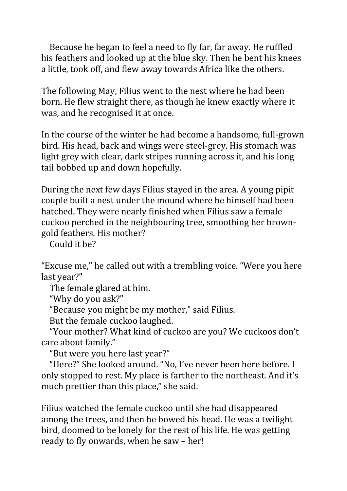Because he began to feel a need to fly far, far away. He ruffled his feathers and looked up at the blue sky. Then he bent his knees a little, took off, and flew away towards Africa like the others.

The following May, Filius went to the nest where he had been born. He flew straight there, as though he knew exactly where it was, and he recognised it at once.

In the course of the winter he had become a handsome, full-grown bird. His head, back and wings were steel-grey. His stomach was light grey with clear, dark stripes running across it, and his long tail bobbed up and down hopefully.

During the next few days Filius stayed in the area. A young pipit couple built a nest under the mound where he himself had been hatched. They were nearly finished when Filius saw a female cuckoo perched in the neighbouring tree, smoothing her browngold feathers. His mother?

Could it he?

"Excuse me," he called out with a trembling voice. "Were you here last year?"

The female glared at him.

"Why do you ask?"

"Because you might be my mother," said Filius.

But the female cuckoo laughed.

"Your mother? What kind of cuckoo are you? We cuckoos don't care about family."

"But were you here last year?"

"Here?" She looked around. "No, I've never been here before. I only stopped to rest. My place is farther to the northeast. And it's much prettier than this place," she said.

Filius watched the female cuckoo until she had disappeared among the trees, and then he bowed his head. He was a twilight bird, doomed to be lonely for the rest of his life. He was getting ready to fly onwards, when he saw - her!